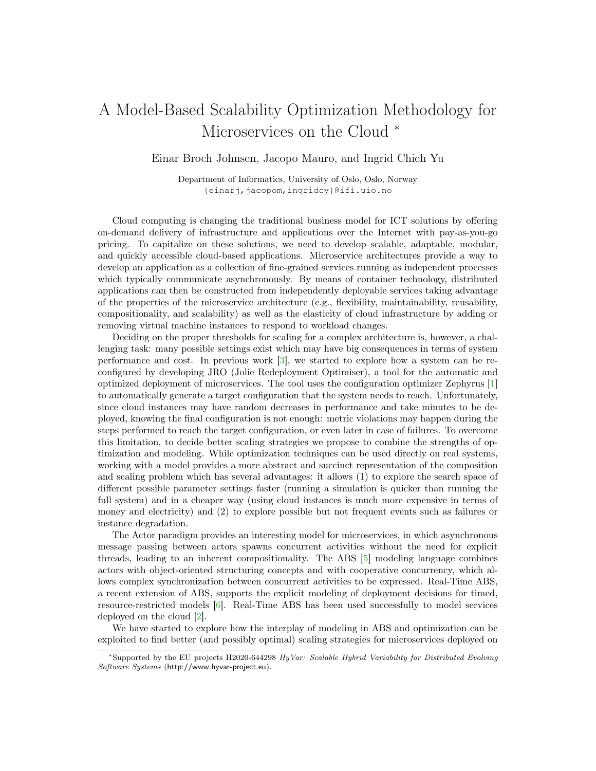## A Model-Based Scalability Optimization Methodology for Microservices on the Cloud  $*$

Einar Broch Johnsen, Jacopo Mauro, and Ingrid Chieh Yu

Department of Informatics, University of Oslo, Oslo, Norway {einarj,jacopom,ingridcy}@ifi.uio.no

Cloud computing is changing the traditional business model for ICT solutions by offering on-demand delivery of infrastructure and applications over the Internet with pay-as-you-go pricing. To capitalize on these solutions, we need to develop scalable, adaptable, modular, and quickly accessible cloud-based applications. Microservice architectures provide a way to develop an application as a collection of fine-grained services running as independent processes which typically communicate asynchronously. By means of container technology, distributed applications can then be constructed from independently deployable services taking advantage of the properties of the microservice architecture (e.g., flexibility, maintainability, reusability, compositionality, and scalability) as well as the elasticity of cloud infrastructure by adding or removing virtual machine instances to respond to workload changes.

Deciding on the proper thresholds for scaling for a complex architecture is, however, a challenging task: many possible settings exist which may have big consequences in terms of system performance and cost. In previous work [\[3\]](#page-1-0), we started to explore how a system can be reconfigured by developing JRO (Jolie Redeployment Optimiser), a tool for the automatic and optimized deployment of microservices. The tool uses the configuration optimizer Zephyrus [\[1\]](#page-1-1) to automatically generate a target configuration that the system needs to reach. Unfortunately, since cloud instances may have random decreases in performance and take minutes to be deployed, knowing the final configuration is not enough: metric violations may happen during the steps performed to reach the target configuration, or even later in case of failures. To overcome this limitation, to decide better scaling strategies we propose to combine the strengths of optimization and modeling. While optimization techniques can be used directly on real systems, working with a model provides a more abstract and succinct representation of the composition and scaling problem which has several advantages: it allows (1) to explore the search space of different possible parameter settings faster (running a simulation is quicker than running the full system) and in a cheaper way (using cloud instances is much more expensive in terms of money and electricity) and (2) to explore possible but not frequent events such as failures or instance degradation.

The Actor paradigm provides an interesting model for microservices, in which asynchronous message passing between actors spawns concurrent activities without the need for explicit threads, leading to an inherent compositionality. The ABS [\[5\]](#page-1-2) modeling language combines actors with object-oriented structuring concepts and with cooperative concurrency, which allows complex synchronization between concurrent activities to be expressed. Real-Time ABS, a recent extension of ABS, supports the explicit modeling of deployment decisions for timed, resource-restricted models [\[6\]](#page-1-3). Real-Time ABS has been used successfully to model services deployed on the cloud [\[2\]](#page-1-4).

We have started to explore how the interplay of modeling in ABS and optimization can be exploited to find better (and possibly optimal) scaling strategies for microservices deployed on

<sup>∗</sup>Supported by the EU projects H2020-644298 HyVar: Scalable Hybrid Variability for Distributed Evolving Software Systems (http://www.hyvar-project.eu).